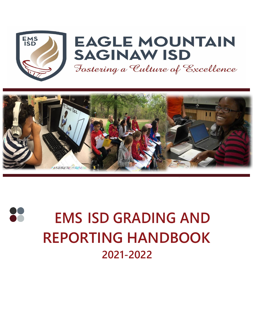

# **EAGLE MOUNTAIN SAGINAW ISD**

Fostering a Culture of Excellence





# **EMS ISD GRADING AND REPORTING HANDBOOK 2021-2022**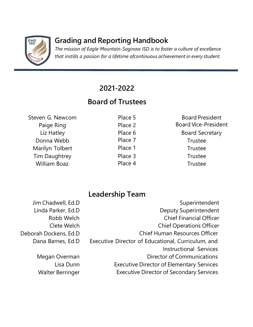

# **Grading and Reporting Handbook**

*The mission of Eagle Mountain-Saginaw ISD is to foster a culture of excellence that instills a passion for a lifetime ofcontinuous achievement in every student.*

# **2021-2022**

# **Board of Trustees**

| Steven G. Newcom     | Place 5 | <b>Board President</b>      |
|----------------------|---------|-----------------------------|
| Paige Ring           | Place 2 | <b>Board Vice-President</b> |
| Liz Hatley           | Place 6 | <b>Board Secretary</b>      |
| Donna Webb           | Place 7 | Trustee                     |
| Marilyn Tolbert      | Place 1 | Trustee                     |
| <b>Tim Daughtrey</b> | Place 3 | Trustee                     |
| <b>William Boaz</b>  | Place 4 | Trustee                     |
|                      |         |                             |

# **Leadership Team**

| Superintendent                                     | Jim Chadwell, Ed.D      |
|----------------------------------------------------|-------------------------|
| <b>Deputy Superintendent</b>                       | Linda Parker, Ed.D      |
| <b>Chief Financial Officer</b>                     | Robb Welch              |
| <b>Chief Operations Officer</b>                    | Clete Welch             |
| <b>Chief Human Resources Officer</b>               | Deborah Dockens, Ed.D   |
| Executive Director of Educational, Curriculum, and | Dana Barnes, Ed.D       |
| <b>Instructional Services</b>                      |                         |
| <b>Director of Communications</b>                  | Megan Overman           |
| <b>Executive Director of Elementary Services</b>   | Lisa Dunn               |
| <b>Executive Director of Secondary Services</b>    | <b>Walter Berringer</b> |
|                                                    |                         |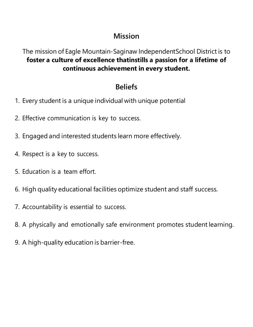# **Mission**

The mission of Eagle Mountain-Saginaw IndependentSchool District is to **foster a culture of excellence thatinstills a passion for a lifetime of continuous achievement in every student.**

# **Beliefs**

- 1. Every student is a unique individual with unique potential
- 2. Effective communication is key to success.
- 3. Engaged and interested students learn more effectively.
- 4. Respect is a key to success.
- 5. Education is a team effort.
- 6. High quality educational facilities optimize student and staff success.
- 7. Accountability is essential to success.
- 8. A physically and emotionally safe environment promotes student learning.
- 9. A high-quality education is barrier-free.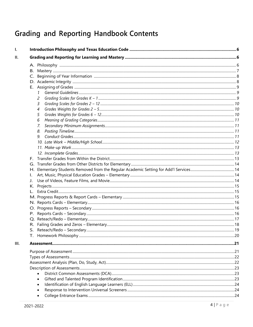# <span id="page-3-0"></span>**Grading and Reporting Handbook Contents**

| I. |               |  |
|----|---------------|--|
| Н. |               |  |
|    |               |  |
|    |               |  |
|    |               |  |
|    |               |  |
|    |               |  |
|    | $\mathcal{I}$ |  |
|    | 2             |  |
|    | 3             |  |
|    | 4             |  |
|    | 5             |  |
|    | 6             |  |
|    | 7.            |  |
|    | 8.            |  |
|    | 9.            |  |
|    |               |  |
|    |               |  |
|    |               |  |
|    | Е.            |  |
|    |               |  |
|    |               |  |
|    |               |  |
|    | J.            |  |
|    |               |  |
|    |               |  |
|    |               |  |
|    |               |  |
|    |               |  |
|    |               |  |
|    |               |  |
|    |               |  |
|    |               |  |
|    |               |  |
| Ш. |               |  |
|    |               |  |
|    |               |  |
|    |               |  |
|    |               |  |
|    |               |  |
|    |               |  |
|    |               |  |
|    |               |  |
|    |               |  |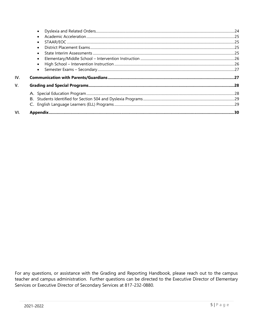| $\bullet$ |  |
|-----------|--|
|           |  |
| $\bullet$ |  |
| $\bullet$ |  |
|           |  |
|           |  |
| $\bullet$ |  |
|           |  |
| IV.       |  |
| V.        |  |
|           |  |
|           |  |
|           |  |
|           |  |

For any questions, or assistance with the Grading and Reporting Handbook, please reach out to the campus teacher and campus administration. Further questions can be directed to the Executive Director of Elementary Services or Executive Director of Secondary Services at 817-232-0880.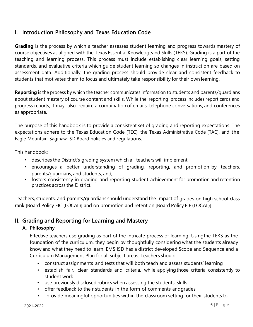## **I. Introduction Philosophy and Texas Education Code**

**Grading** is the process by which a teacher assesses student learning and progress towards mastery of course objectives as aligned with the Texas Essential Knowledgeand Skills (TEKS). Grading is a part of the teaching and learning process. This process must include establishing clear learning goals, setting standards, and evaluative criteria which guide student learning so changes in instruction are based on assessment data. Additionally, the grading process should provide clear and consistent feedback to students that motivates them to focus and ultimately take responsibility for their own learning.

**Reporting** is the process by which the teacher communicates information to students and parents/guardians about student mastery of course content and skills. While the reporting process includes report cards and progress reports, it may also require a combination of emails, telephone conversations, and conferences as appropriate.

The purpose of this handbook is to provide a consistent set of grading and reporting expectations. The expectations adhere to the Texas Education Code (TEC), the Texas Administrative Code (TAC), and the Eagle Mountain-Saginaw ISD Board policies and regulations.

This handbook:

- describes the District's grading system which all teachers will implement;
- encourages a better understanding of grading, reporting, and promotion by teachers, parents/guardians, and students; and,
- fosters consistency in grading and reporting student achievement for promotion and retention practices across the District.

Teachers, students, and parents/guardians should understand the impact of grades on high school class rank [Board Policy EIC (LOCAL)] and on promotion and retention [Board Policy EIE (LOCAL)].

## **II. Grading and Reporting for Learning and Mastery**

#### **A. Philosophy**

Effective teachers use grading as part of the intricate process of learning. Usingthe TEKS as the foundation of the curriculum, they begin by thoughtfully considering what the students already know and what they need to learn. EMS ISD has a district developed Scope and Sequence and a Curriculum Management Plan for all subject areas. Teachers should:

- construct assignments and tests that will both teach and assess students' learning
- establish fair, clear standards and criteria, while applying those criteria consistently to student work
- use previously disclosed rubrics when assessing the students' skills
- offer feedback to their students in the form of comments andgrades
- provide meaningful opportunities within the classroom setting for their students to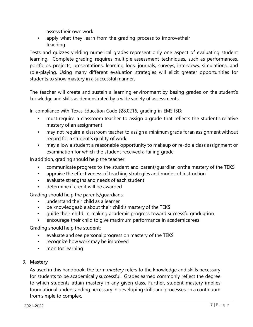assess their own work

• apply what they learn from the grading process to improvetheir teaching

Tests and quizzes yielding numerical grades represent only one aspect of evaluating student learning. Complete grading requires multiple assessment techniques, such as performances, portfolios, projects, presentations, learning logs, journals, surveys, interviews, simulations, and role-playing. Using many different evaluation strategies will elicit greater opportunities for students to show mastery in a successful manner.

The teacher will create and sustain a learning environment by basing grades on the student's knowledge and skills as demonstrated by a wide variety of assessments.

In compliance with Texas Education Code §28.0216, grading in EMS ISD:

- must require a classroom teacher to assign a grade that reflects the student's relative mastery of an assignment
- may not require a classroom teacher to assign a minimum grade foran assignment without regard for a student's quality of work
- may allow a student a reasonable opportunity to makeup or re-do a class assignment or examination for which the student received a failing grade

In addition, grading should help the teacher:

- communicate progress to the student and parent/guardian onthe mastery of the TEKS
- appraise the effectiveness of teaching strategies and modes of instruction
- evaluate strengths and needs of each student
- determine if credit will be awarded

Grading should help the parents/guardians:

- understand their child as a learner
- be knowledgeable about their child's mastery of the TEKS
- guide their child in making academic progress toward successfulgraduation
- encourage their child to give maximum performance in academicareas

Grading should help the student:

- evaluate and see personal progress on mastery of the TEKS
- recognize how work may be improved
- monitor learning

#### B. **Mastery**

As used in this handbook, the term *mastery* refers to the knowledge and skills necessary for students to be academically successful. Grades earned commonly reflect the degree to which students attain mastery in any given class. Further, student mastery implies foundational understanding necessary in developing skills and processes on a continuum from simple to complex.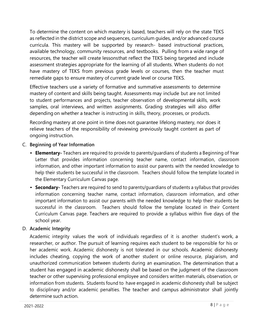To determine the content on which mastery is based, teachers will rely on the state TEKS as reflected in the district scope and sequences, curriculum guides, and/or advanced course curricula. This mastery will be supported by research- based instructional practices, available technology, community resources, and textbooks. Pulling from a wide range of resources, the teacher will create lessonsthat reflect the TEKS being targeted and include assessment strategies appropriate for the learning of all students. When students do not have mastery of TEKS from previous grade levels or courses, then the teacher must remediate gaps to ensure mastery of current grade level or course TEKS.

Effective teachers use a variety of formative and summative assessments to determine mastery of content and skills being taught. Assessments may include but are not limited to student performances and projects, teacher observation of developmental skills, work samples, oral interviews, and written assignments. Grading strategies will also differ depending on whether a teacher is instructing in skills, theory, processes, or products.

Recording mastery at one point in time does not guarantee lifelong mastery, nor does it relieve teachers of the responsibility of reviewing previously taught content as part of ongoing instruction.

#### C. **Beginning of Year Information**

- **Elementary-** Teachers are required to provide to parents/guardians of students a Beginning of Year Letter that provides information concerning teacher name, contact information, classroom information, and other important information to assist our parents with the needed knowledge to help their students be successful in the classroom. Teachers should follow the template located in the Elementary Curriculum Canvas page.
- **Secondary-** Teachers are required to send to parents/guardians of students a syllabus that provides information concerning teacher name, contact information, classroom information, and other important information to assist our parents with the needed knowledge to help their students be successful in the classroom. Teachers should follow the template located in their Content Curriculum Canvas page. Teachers are required to provide a syllabus within five days of the school year.

#### D. **Academic Integrity**

Academic integrity values the work of individuals regardless of it is another student's work, a researcher, or author. The pursuit of learning requires each student to be responsible for his or her academic work. Academic dishonesty is not tolerated in our schools. Academic dishonesty includes cheating, copying the work of another student or online resource, plagiarism, and unauthorized communication between students during an examination. The determination that a student has engaged in academic dishonesty shall be based on the judgment of the classroom teacher or other supervising professional employee and considers written materials, observation, or information from students. Students found to have engaged in academic dishonesty shall be subject to disciplinary and/or academic penalties. The teacher and campus administrator shall jointly determine such action.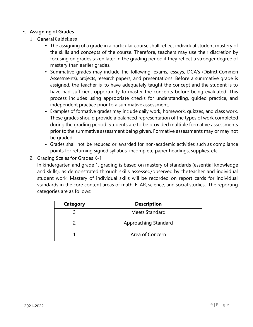#### E. **Assigning of Grades**

- 1. General Guidelines
	- The assigning of a grade in a particular course shall reflect individual student mastery of the skills and concepts of the course. Therefore, teachers may use their discretion by focusing on grades taken later in the grading period if they reflect a stronger degree of mastery than earlier grades.
	- Summative grades may include the following: exams, essays, DCA's (District Common Assessments), projects, research papers, and presentations. Before a summative grade is assigned, the teacher is to have adequately taught the concept and the student is to have had sufficient opportunity to master the concepts before being evaluated. This process includes using appropriate checks for understanding, guided practice, and independent practice prior to a summative assessment.
	- Examples of formative grades may include daily work, homework, quizzes, and class work. These grades should provide a balanced representation of the types of work completed during the grading period. Students are to be provided multiple formative assessments prior to the summative assessment being given. Formative assessments may or may not be graded.
	- Grades shall not be reduced or awarded for non-academic activities such as compliance points for returning signed syllabus, incomplete paper headings, supplies, etc.
- 2. Grading Scales for Grades K-1

In kindergarten and grade 1, grading is based on mastery of standards (essential knowledge and skills), as demonstrated through skills assessed/observed by theteacher and individual student work. Mastery of individual skills will be recorded on report cards for individual standards in the core content areas of math, ELAR, science, and social studies. The reporting categories are as follows:

| <b>Category</b> | <b>Description</b>   |  |
|-----------------|----------------------|--|
|                 | Meets Standard       |  |
|                 | Approaching Standard |  |
|                 | Area of Concern      |  |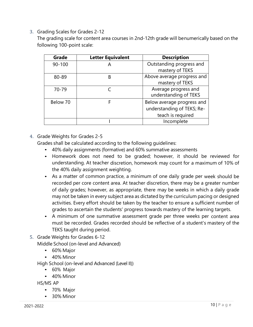3. Grading Scales for Grades 2-12

The grading scale for content area courses in 2nd-12th grade will benumerically based on the following 100-point scale:

| Grade      | <b>Letter Equivalent</b> | <b>Description</b>         |
|------------|--------------------------|----------------------------|
| $90 - 100$ | А                        | Outstanding progress and   |
|            |                          | mastery of TEKS            |
| $80 - 89$  | B                        | Above average progress and |
|            |                          | mastery of TEKS            |
| 70-79      |                          | Average progress and       |
|            |                          | understanding of TEKS      |
| Below 70   |                          | Below average progress and |
|            |                          | understanding of TEKS; Re- |
|            |                          | teach is required          |
|            |                          | Incomplete                 |

4. Grade Weights for Grades 2-5

Grades shall be calculated according to the following guidelines:

- 40% daily assignments (formative) and 60% summative assessments
- Homework does not need to be graded; however, it should be reviewed for understanding. At teacher discretion, homework may count for a maximum of 10% of the 40% daily assignment weighting.
- As a matter of common practice, a minimum of one daily grade per week should be recorded per core content area. At teacher discretion, there may be a greater number of daily grades; however, as appropriate, there may be weeks in which a daily grade may not be taken in every subject area as dictated by the curriculum pacing or designed activities. Every effort should be taken by the teacher to ensure a sufficient number of grades to ascertain the students' progress towards mastery of the learning targets.
- A minimum of one summative assessment grade per three weeks per content area must be recorded. Grades recorded should be reflective of a student's mastery of the TEKS taught during period.
- 5. Grade Weights for Grades 6-12

Middle School (on-level and Advanced)

- 60% Major
- 40% Minor

High School (on-level and Advanced (Level II))

- 60% Major
- 40% Minor

HS/MS AP

- 70% Major
- 30% Minor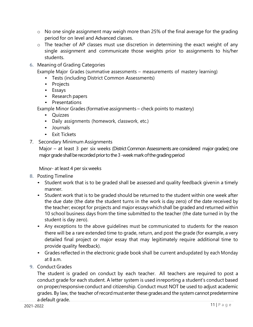- o No one single assignment may weigh more than 25% of the final average for the grading period for on level and Advanced classes.
- o The teacher of AP classes must use discretion in determining the exact weight of any single assignment and communicate those weights prior to assignments to his/her students.
- 6. Meaning of Grading Categories

Example Major Grades (summative assessments – measurements of mastery learning)

- Tests (including District Common Assessments)
- Projects
- Essays
- Research papers
- Presentations

Example Minor Grades (formative assignments – check points to mastery)

- Quizzes
- Daily assignments (homework, classwork, etc.)
- Journals
- Exit Tickets
- 7. Secondary Minimum Assignments

Major – at least 3 per six weeks (District Common Assessments are considered major grades); one major grade shall be recorded prior to the 3 -week mark of the grading period

Minor- at least 4 per six weeks

- 8. Posting Timeline
	- Student work that is to be graded shall be assessed and quality feedback givenin a timely manner.
	- Student work that is to be graded should be returned to the student within one week after the due date (the date the student turns in the work is day zero) of the date received by the teacher; except for projects and major essayswhichshall be graded and returned within 10 school business days from the time submitted to the teacher (the date turned in by the student is day zero).
	- Any exceptions to the above guidelines must be communicated to students for the reason there will be a rare extended time to grade, return, and post the grade (for example, a very detailed final project or major essay that may legitimately require additional time to provide quality feedback).
	- Grades reflected in the electronic grade book shall be current andupdated by each Monday at 8 a.m.
- 9. Conduct Grades

The student is graded on conduct by each teacher. All teachers are required to post a conduct grade for each student. A letter system is used inreporting a student's conduct based on proper/responsive conduct and citizenship. Conduct must NOT be used to adjust academic grades. By law, the teacher of record must enter these grades and the system cannot predetermine a default grade.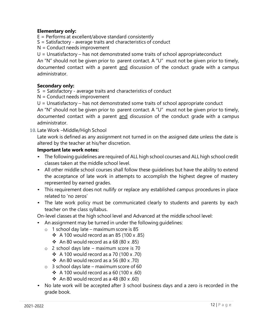#### **Elementary only:**

- $E =$  Performs at excellent/above standard consistently
- S = Satisfactory average traits and characteristics of conduct
- N = Conduct needs improvement
- $U =$  Unsatisfactory has not demonstrated some traits of school appropriateconduct

An "N" should not be given prior to parent contact. A "U" must not be given prior to timely, documented contact with a parent and discussion of the conduct grade with a campus administrator.

#### **Secondary only:**

administrator.

 $S = S$ atisfactory - average traits and characteristics of conduct

N = Conduct needs improvement

 $U =$  Unsatisfactory – has not demonstrated some traits of school appropriate conduct An "N" should not be given prior to parent contact. A "U" must not be given prior to timely, documented contact with a parent and discussion of the conduct grade with a campus

10. Late Work *–*Middle/High School

Late work is defined as any assignment not turned in on the assigned date unless the date is altered by the teacher at his/her discretion.

#### **Important late work notes:**

- The following guidelines are required of ALL high school courses and ALL high school credit classes taken at the middle school level.
- All other middle school courses shall follow these guidelines but have the ability to extend the acceptance of late work in attempts to accomplish the highest degree of mastery represented by earned grades.
- This requirement does not nullify or replace any established campus procedures in place related to 'no zeros'
- The late work policy must be communicated clearly to students and parents by each teacher on the class syllabus.

On-level classes at the high school level and Advanced at the middle school level:

- An assignment may be turned in under the following guidelines:
	- $\circ$  1 school day late maximum score is 85
		- ❖ A 100 would record as an 85 (100 x .85)
		- ❖ An 80 would record as a 68 (80 x .85)
	- o 2 school days late maximum score is 70
		- ❖ A 100 would record as a 70 (100 x .70)
		- ❖ An 80 would record as a 56 (80 x .70)
	- $\circ$  3 school days late maximum score of 60
		- ❖ A 100 would record as a 60 (100 x .60)
		- $\div$  An 80 would record as a 48 (80 x .60)
- No late work will be accepted after 3 school business days and a zero is recorded in the grade book.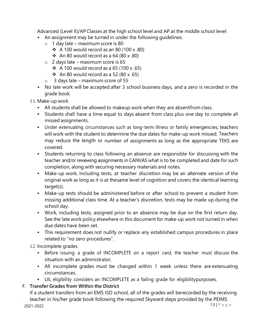Advanced (Level II)/AP Classes at the high school level and AP at the middle school level:

- An assignment may be turned in under the following guidelines:
	- $\circ$  1 day late maximum score is 80
		- ❖ A 100 would record as an 80 (100 x .80)
		- ❖ An 80 would record as a 64 (80 x .80)
	- $\circ$  2 days late maximum score is 65
		- ❖ A 100 would record as a 65 (100 x .65)
		- $\div$  An 80 would record as a 52 (80 x .65)
	- $\circ$  3 days late maximum score of 55
- No late work will be accepted after 3 school business days, and a zero is recorded in the grade book.

11. Make-up work

- All students shall be allowed to makeup work when they are absentfrom class.
- Students shall have a time equal to days absent from class plus one day to complete all missed assignments.
- Under extenuating circumstances such as long-term illness or family emergencies, teachers will work with the student to determine the due dates for make-up work missed. Teachers may reduce the length or number of assignments as long as the appropriate TEKS are covered.
- Students returning to class following an absence are responsible for discussing with the teacher and/or reviewing assignments in CANVAS what is to be completed and date for such completion, along with securing necessary materials and notes.
- Make-up work, including tests, at teacher discretion may be an alternate version of the original work as long as it is at thesame level of cognition and covers the identical learning target(s).
- Make-up tests should be administered before or after school to prevent a student from missing additional class time. At a teacher's discretion, tests may be made up during the school day.
- Work, including tests, assigned prior to an absence may be due on the first return day. See the late work policy elsewhere in this document for make-up work not turned in when due dates have been set.
- This requirement does not nullify or replace any established campus procedures in place related to "no zero procedures".

12. Incomplete grades

- Before issuing a grade of INCOMPLETE on a report card, the teacher must discuss the situation with an administrator.
- All incomplete grades must be changed within 1 week unless there are extenuating circumstances.
- UIL eligibility considers an INCOMPLETE as a failing grade for eligibilitypurposes.

# F. **Transfer Grades from Within the District**

If a student transfers from an EMS ISD school, all of the grades will berecorded by the receiving teacher in his/her grade book following the required Skyward steps provided by the PEIMS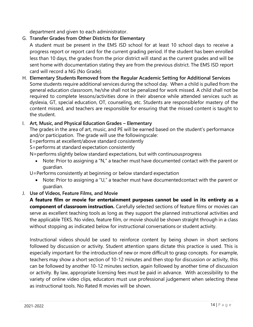department and given to each administrator.

#### G. **Transfer Grades from Other Districts for Elementary**

A student must be present in the EMS ISD school for at least 10 school days to receive a progress report or report card for the current grading period. If the student has been enrolled less than 10 days, the grades from the prior district will stand as the current grades and will be sent home with documentation stating they are from the previous district. The EMS ISD report card will record a NG (No Grade).

H. **Elementary Students Removed from the Regular Academic Setting for Additional Services** Some students require additional services during the school day. When a child is pulled from the general education classroom, he/she shall not be penalized for work missed. A child shall not be required to complete lessons/activities done in their absence while attended services such as dyslexia, GT, special education, OT, counseling, etc. Students are responsiblefor mastery of the content missed, and teachers are responsible for ensuring that the missed content is taught to the student.

#### I. **Art, Music, and Physical Education Grades** *–* **Elementary**

The grades in the area of art, music, and PE will be earned based on the student's performance and/or participation. The grade will use the followingscale:

E=performs at excellent/above standard consistently

S=performs at standard expectation consistently

N=performs slightly below standard expectations, but with continuousprogress

- Note: Prior to assigning a "N," a teacher must have documented contact with the parent or guardian.
- U=Performs consistently at beginning or below standard expectation
	- Note: Prior to assigning a "U," a teacher must have documentedcontact with the parent or guardian.

## J. **Use of Videos, Feature Films, and Movie**

**A feature film or movie for entertainment purposes cannot be used in its entirety as a component of classroom instruction.** Carefully selected sections of feature films or movies can serve as excellent teaching tools as long as they support the planned instructional activities and the applicable TEKS. No video, feature film, or movie should be shown straight through in a class without stopping as indicated below for instructional conversations or student activity.

Instructional videos should be used to reinforce content by being shown in short sections followed by discussion or activity. Student attention spans dictate this practice is used. This is especially important for the introduction of new or more difficult to grasp concepts. For example, teachers may show a short section of 10-12 minutes and then stop for discussion or activity, this can be followed by another 10-12 minutes section, again followed by another time of discussion or activity. By law, appropriate licensing fees must be paid in advance. With accessibility to the variety of online video clips, educators must use professional judgement when selecting these as instructional tools. No Rated R movies will be shown.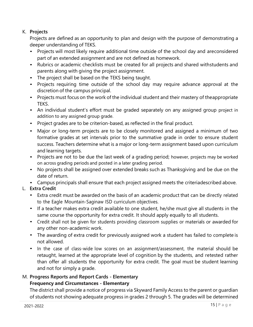#### K. **Projects**

Projects are defined as an opportunity to plan and design with the purpose of demonstrating a deeper understanding of TEKS.

- Projects will most likely require additional time outside of the school day and areconsidered part of an extended assignment and are not defined as homework.
- Rubrics or academic checklists must be created for all projects and shared withstudents and parents along with giving the project assignment.
- The project shall be based on the TEKS being taught.
- Projects requiring time outside of the school day may require advance approval at the discretion of the campus principal.
- Projects must focus on the work of the individual student and their mastery of theappropriate TEKS.
- An individual student's effort must be graded separately on any assigned group project in addition to any assigned group grade.
- Project grades are to be criterion-based, as reflected in the final product.
- Major or long-term projects are to be closely monitored and assigned a minimum of two formative grades at set intervals prior to the summative grade in order to ensure student success. Teachers determine what is a major or long-term assignment based upon curriculum and learning targets.
- Projects are not to be due the last week of a grading period; however, projects may be worked on across grading periods and posted in a later grading period.
- No projects shall be assigned over extended breaks such as Thanksgiving and be due on the date of return.
- Campus principals shall ensure that each project assigned meets the criteriadescribed above.

## L. **Extra Credit**

- Extra credit must be awarded on the basis of an academic product that can be directly related to the Eagle Mountain-Saginaw ISD curriculum objectives.
- If a teacher makes extra credit available to one student, he/she must give all students in the same course the opportunity for extra credit. It should apply equally to all students.
- Credit shall not be given for students providing classroom supplies or materials or awarded for any other non-academic work.
- The awarding of extra credit for previously assigned work a student has failed to complete is not allowed.
- In the case of class-wide low scores on an assignment/assessment, the material should be retaught, learned at the appropriate level of cognition by the students, and retested rather than offer all students the opportunity for extra credit. The goal must be student learning and not for simply a grade.

#### M. **Progress Reports and Report Cards - Elementary**

## **Frequency and Circumstances - Elementary**

The district shall provide a notice of progress via Skyward Family Access to the parent or guardian of students not showing adequate progress in grades 2 through 5. The grades will be determined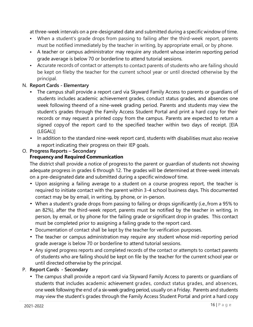at three-week intervals on a pre-designated date and submitted during a specific window of time.

- When a student's grade drops from passing to failing after the third-week report, parents must be notified immediately by the teacher in writing, by appropriate email, or by phone.
- A teacher or campus administrator may require any student whose interim reporting period grade average is below 70 or borderline to attend tutorial sessions.
- Accurate records of contact or attempts to contact parents of students who are failing should be kept on fileby the teacher for the current school year or until directed otherwise by the principal.

#### N. **Report Cards - Elementary**

- The campus shall provide a report card via Skyward Family Access to parents or guardians of students includes academic achievement grades, conduct status grades, and absences one week following theend of a nine-week grading period. Parents and students may view the student's grades through the Family Access Student Portal and print a hard copy for their records or may request a printed copy from the campus. Parents are expected to return a signed copyof the report card to the specified teacher within two days of receipt. [EIA (LEGAL)]
- In addition to the standard nine-week report card, students with disabilities must also receive a report indicating their progress on their IEP goals.

#### O. **Progress Reports – Secondary**

#### **Frequency and Required Communication**

The district shall provide a notice of progress to the parent or guardian of students not showing adequate progress in grades 6 through 12. The grades will be determined at three-week intervals on a pre-designated date and submitted during a specific windowof time.

- Upon assigning a failing average to a student on a course progress report, the teacher is required to initiate contact with the parent within 3-4 school business days. This documented contact may be by email, in writing, by phone, or in-person.
- When a student's grade drops from passing to failing or drops significantly (i.e.,from a 95% to an 82%), after the third-week report, parents must be notified by the teacher in writing, in person, by email, or by phone for the failing grade or significant drop in grades. This contact must be completed prior to assigning a failing grade to the report card.
- Documentation of contact shall be kept by the teacher for verification purposes.
- The teacher or campus administration may require any student whose mid-reporting period grade average is below 70 or borderline to attend tutorial sessions.
- Any signed progress reports and completed records of the contact or attempts to contact parents of students who are failing should be kept on file by the teacher for the current school year or until directed otherwise by the principal.

#### P. **Report Cards - Secondary**

• The campus shall provide a report card via Skyward Family Access to parents or guardians of students that includes academic achievement grades, conduct status grades, and absences, one week following the end of a six-week grading period, usually on a Friday. Parents and students may view the student's grades through the Family Access Student Portal and print a hard copy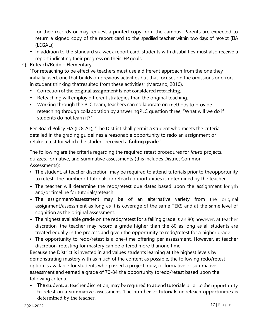for their records or may request a printed copy from the campus. Parents are expected to return a signed copy of the report card to the specified teacher within two days of receipt. [EIA (LEGAL)]

• In addition to the standard six-week report card, students with disabilities must also receive a report indicating their progress on their IEP goals.

#### Q. **Reteach/Redo** *–* **Elementary**

"For reteaching to be effective teachers must use a different approach from the one they initially used, one that builds on previous activities but that focuses on the omissions or errors in student thinking thatresulted from these activities" (Marzano, 2010).

- Correction of the original assignment is not considered reteaching.
- Reteaching will employ different strategies than the original teaching.
- Working through the PLC team, teachers can collaborate on methods to provide reteaching through collaboration by answeringPLC question three, "What will we do if students do not learn it?"

Per Board Policy EIA (LOCAL), "The District shall permit a student who meets the criteria detailed in the grading guidelines a reasonable opportunity to redo an assignment or retake a test for which the student received a **failing grade**."

The following are the criteria regarding the required retest procedures for *failed* projects, quizzes, formative, and summative assessments (this includes District Common Assessments):

- The student, at teacher discretion, may be required to attend tutorials prior to theopportunity to retest. The number of tutorials or reteach opportunities is determined by the teacher.
- The teacher will determine the redo/retest due dates based upon the assignment length and/or timeline for tutorials/reteach.
- The assignment/assessment may be of an alternative variety from the original assignment/assessment as long as it is coverage of the same TEKS and at the same level of cognition as the original assessment.
- The highest available grade on the redo/retest for a failing grade is an 80; however, at teacher discretion, the teacher may record a grade higher than the 80 as long as all students are treated equally in the process and given the opportunity to redo/retest for a higher grade.
- The opportunity to redo/retest is a one-time offering per assessment. However, at teacher discretion, retesting for mastery can be offered more thanone time.

Because the District is invested in and values students learning at the highest levels by demonstrating mastery with as much of the content as possible, the following redo/retest option is available for students who passed a project, quiz, or formative or summative assessment and earned a grade of 70-84 the opportunity toredo/retest based upon the following criteria:

• The student, at teacher discretion, may be required to attend tutorials prior to the opportunity to retest on a summative assessment. The number of tutorials or reteach opportunities is determined by the teacher.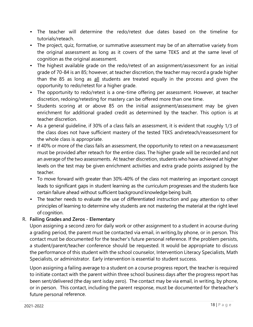- The teacher will determine the redo/retest due dates based on the timeline for tutorials/reteach.
- The project, quiz, formative, or summative assessment may be of an alternative variety from the original assessment as long as it covers of the same TEKS and at the same level of cognition as the original assessment.
- The highest available grade on the redo/retest of an assignment/assessment for an initial grade of 70-84 is an 85; however, at teacher discretion, the teacher may record a grade higher than the 85 as long as all students are treated equally in the process and given the opportunity to redo/retest for a higher grade.
- The opportunity to redo/retest is a one-time offering per assessment. However, at teacher discretion, redoing/retesting for mastery can be offered more than one time.
- Students scoring at or above 85 on the initial assignment/assessment may be given enrichment for additional graded credit as determined by the teacher. This option is at teacher discretion.
- As a general guideline, if 30% of a class fails an assessment, it is evident that roughly 1/3 of the class does not have sufficient mastery of the tested TEKS andreteach/reassessment for the whole class is appropriate.
- If 40% or more of the class fails an assessment, the opportunity to retest on a newassessment must be provided after reteach for the entire class. The higher grade will be recorded and not an average of the two assessments. At teacher discretion, students who have achieved at higher levels on the test may be given enrichment activities and extra grade points assigned by the teacher.
- To move forward with greater than 30%-40% of the class not mastering an important concept leads to significant gaps in student learning as the curriculum progresses and the students face certain failure ahead without sufficient background knowledge being built.
- The teacher needs to evaluate the use of differentiated instruction and pay attention to other principles of learning to determine why students are not mastering the material at the right level of cognition.

#### R. **Failing Grades and Zeros - Elementary**

Upon assigning a second zero for daily work or other assignment to a student in acourse during a grading period, the parent must be contacted via email, in writing, by phone, or in person. This contact must be documented for the teacher's future personal reference. If the problem persists, a student/parent/teacher conference should be requested. It would be appropriate to discuss the performance of this student with the school counselor, Intervention Literacy Specialists, Math Specialists, or administrator. Early intervention is essential to student success.

Upon assigning a failing average to a student on a course progress report, the teacher is required to initiate contact with the parent within three school business days after the progress report has been sent/delivered (the day sent isday zero). The contact may be via email, in writing, by phone, or in person. This contact, including the parent response, must be documented for theteacher's future personal reference.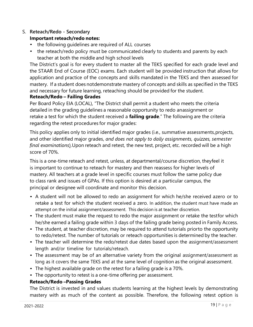#### S. **Reteach/Redo - Secondary Important reteach/redo notes:**

- the following guidelines are required of ALL courses
- the reteach/redo policy must be communicated clearly to students and parents by each teacher at both the middle and high school levels

The District's goal is for every student to master all the TEKS specified for each grade level and the STAAR End of Course (EOC) exams. Each student will be provided instruction that allows for application and practice of the concepts and skills mandated in the TEKS and then assessed for mastery. If a student does notdemonstrate mastery of concepts and skills as specified in the TEKS and necessary for future learning, reteaching should be provided for the student.

#### **Reteach/Redo** *–* **Failing Grades**

Per Board Policy EIA (LOCAL), "The District shall permit a student who meets the criteria detailed in the grading guidelines a reasonable opportunity to redo anassignment or retake a test for which the student received a **failing grade**." The following are the criteria regarding the retest procedures for major grades:

This policy applies only to initial identified major grades (i.e., summative assessments,projects, and other identified major grades, *and does not apply to daily assignments, quizzes, semester final examinations*).Upon reteach and retest, the new test, project, etc. recorded will be a high score of 70%.

This is a one-time reteach and retest, unless, at departmental/course discretion, theyfeel it is important to continue to reteach for mastery and then reassess for higher levels of mastery. All teachers at a grade level in specific courses must follow the same policy due to class rank and issues of GPAs. If this option is desired at a particular campus, the principal or designee will coordinate and monitor this decision.

- A student will not be allowed to redo an assignment for which he/she received azero or to retake a test for which the student received a zero. In addition, the student must have made an attempt on the initial assignment/assessment. This decision is at teacher discretion.
- The student must make the request to redo the major assignment or retake the testfor which he/she earned a failing grade within 3 days of the failing grade being posted in Family Access.
- The student, at teacher discretion, may be required to attend tutorials priorto the opportunity to redo/retest. The number of tutorials or reteach opportunities is determined by the teacher.
- The teacher will determine the redo/retest due dates based upon the assignment/assessment length and/or timeline for tutorials/reteach.
- The assessment may be of an alternative variety from the original assignment/assessment as long as it covers the same TEKS and at the same level of cognition as the original assessment.
- The highest available grade on the retest for a failing grade is a 70%.
- The opportunity to retest is a one-time offering per assessment.

## **Reteach/Redo** *–***Passing Grades**

The District is invested in and values students learning at the highest levels by demonstrating mastery with as much of the content as possible. Therefore, the following retest option is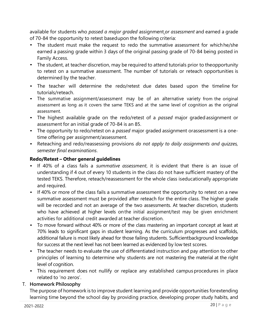available for students who *passed a major graded* assignment *or assessment* and earned a grade of 70-84 the opportunity to retest basedupon the following criteria:

- The student must make the request to redo the summative assessment for whichhe/she earned a passing grade within 3 days of the original passing grade of 70-84 being posted in Family Access.
- The student, at teacher discretion, may be required to attend tutorials prior to theopportunity to retest on a summative assessment. The number of tutorials or reteach opportunities is determined by the teacher.
- The teacher will determine the redo/retest due dates based upon the timeline for tutorials/reteach.
- The summative assignment/assessment may be of an alternative variety from the original assessment as long as it covers the same TEKS and at the same level of cognition as the original assessment.
- The highest available grade on the redo/retest of a *passed* major graded assignment or assessment for an initial grade of 70-84 is an 85.
- The opportunity to redo/retest on a *passed* major graded assignment orassessment is a onetime offering per assignment/assessment.
- Reteaching and redo/reassessing provisions *do not apply to daily assignments and quizzes, semester final examinations*.

#### **Redo/Retest** *–* **Other general guidelines**

- If 40% of a class fails a *summative assessment*, it is evident that there is an issue of understanding if 4 out of every 10 students in the class do not have sufficient mastery of the tested TEKS. Therefore, reteach/reassessment for the whole class iseducationally appropriate and required.
- If 40% or more of the class fails a summative assessment the opportunity to retest on a new summative assessment must be provided after reteach for the entire class. The higher grade will be recorded and not an average of the two assessments. At teacher discretion, students who have achieved at higher levels onthe initial assignment/test may be given enrichment activities for additional credit awarded at teacher discretion.
- To move forward without 40% or more of the class mastering an important concept at least at 70% leads to significant gaps in student learning. As the curriculum progresses and scaffolds, additional failure is most likely ahead for those failing students. Sufficientbackground knowledge for success at the next level has not been learned as evidenced by low test scores.
- The teacher needs to evaluate the use of differentiated instruction and pay attention to other principles of learning to determine why students are not mastering the material at the right level of cognition.
- This requirement does not nullify or replace any established campus procedures in place related to 'no zeros'.

#### T. **Homework Philosophy**

The purpose of homework is to improve student learning and provide opportunities forextending learning time beyond the school day by providing practice, developing proper study habits, and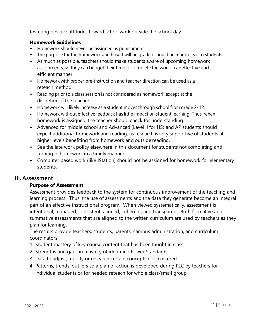fostering positive attitudes toward schoolwork outside the school day.

#### **Homework Guidelines**

- Homework should never be assigned as punishment.
- The purpose for the homework and how it will be graded should be made clear to students.
- As much as possible, teachers should make students aware of upcoming homework assignments, so they can budget their time to complete the work in aneffective and efficient manner.
- Homework with proper pre-instruction and teacher direction can be used as a reteach method.
- Reading prior to a class session is not considered as homework except at the discretion of the teacher.
- Homework will likely increase as a student moves through school from grade 2-12.
- Homework without effective feedback has little impact on student learning. Thus, when homework is assigned, the teacher should check for understanding.
- Advanced for middle school and Advanced (Level II for HS) and AP students should expect additional homework and reading, as research is very supportive of students at higher levels benefiting from homework and outside reading.
- See the late work policy elsewhere in this document for students not completing and turning in homework in a timely manner.
- Computer based work (like IStation) should not be assigned for homework for elementary students.

## **III. Assessment**

#### **Purpose of Assessment**

Assessment provides feedback to the system for continuous improvement of the teaching and learning process. Thus, the use of assessments and the data they generate become an integral part of an effective instructional program. When viewed systematically, assessment is intentional, managed, consistent, aligned, coherent, and transparent. Both formative and summative assessments that are aligned to the written curriculum are used by teachers as they plan for learning.

The results provide teachers, students, parents, campus administration, and curriculum coordinators:

- 1. Student mastery of key course content that has been taught in class
- 2. Strengths and gaps in mastery of identified Power Standards
- 3. Data to adjust, modify or research certain concepts not mastered
- 4. Patterns, trends, outliers so a plan of action is developed during PLC by teachers for individual students or for needed reteach for whole class/small group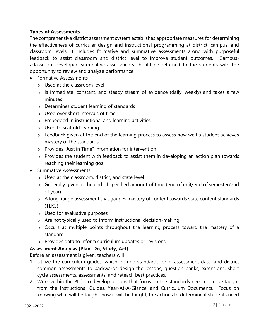#### **Types of Assessments**

The comprehensive district assessment system establishes appropriate measures for determining the effectiveness of curricular design and instructional programming at district, campus, and classroom levels. It includes formative and summative assessments along with purposeful feedback to assist classroom and district level to improve student outcomes. Campus- /classroom-developed summative assessments should be returned to the students with the opportunity to review and analyze performance.

- Formative Assessments
	- o Used at the classroom level
	- o Is immediate, constant, and steady stream of evidence (daily, weekly) and takes a few minutes
	- o Determines student learning of standards
	- o Used over short intervals of time
	- o Embedded in instructional and learning activities
	- o Used to scaffold learning
	- o Feedback given at the end of the learning process to assess how well a student achieves mastery of the standards
	- o Provides "Just in Time" information for intervention
	- o Provides the student with feedback to assist them in developing an action plan towards reaching their learning goal
- Summative Assessments
	- o Used at the classroom, district, and state level
	- o Generally given at the end of specified amount of time (end of unit/end of semester/end of year)
	- o A long-range assessment that gauges mastery of content towards state content standards (TEKS)
	- o Used for evaluative purposes
	- o Are not typically used to inform instructional decision-making
	- o Occurs at multiple points throughout the learning process toward the mastery of a standard
	- o Provides data to inform curriculum updates or revisions

#### **Assessment Analysis (Plan, Do, Study, Act)**

Before an assessment is given, teachers will

- 1. Utilize the curriculum guides, which include standards, prior assessment data, and district common assessments to backwards design the lessons, question banks, extensions, short cycle assessments, assessments, and reteach best practices.
- 2. Work within the PLCs to develop lessons that focus on the standards needing to be taught from the Instructional Guides, Year-At-A-Glance, and Curriculum Documents. Focus on knowing what will be taught, how it will be taught, the actions to determine if students need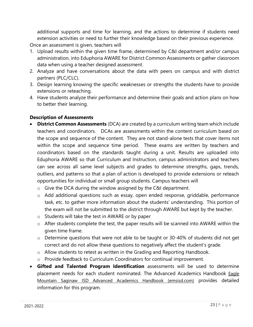additional supports and time for learning, and the actions to determine if students need extension activities or need to further their knowledge based on their previous experience.

Once an assessment is given, teachers will

- 1. Upload results within the given time frame, determined by C&I department and/or campus administration, into Eduphoria AWARE for District Common Assessments or gather classroom data when using a teacher designed assessment.
- 2. Analyze and have conversations about the data with peers on campus and with district partners (PLC/CLC).
- 3. Design learning knowing the specific weaknesses or strengths the students have to provide extensions or reteaching.
- 4. Have students analyze their performance and determine their goals and action plans on how to better their learning.

#### **Description of Assessments**

- **District Common Assessments** (DCA) are created by a curriculum writing team which include teachers and coordinators. DCAs are assessments within the content curriculum based on the scope and sequence of the content. They are not stand-alone tests that cover items not within the scope and sequence time period. These exams are written by teachers and coordinators based on the standards taught during a unit. Results are uploaded into Eduphoria AWARE so that Curriculum and Instruction, campus administrators and teachers can see across all same level subjects and grades to determine strengths, gaps, trends, outliers, and patterns so that a plan of action is developed to provide extensions or reteach opportunities for individual or small group students. Campus teachers will
	- o Give the DCA during the window assigned by the C&I department.
	- o Add additional questions such as essay, open ended response, griddable, performance task, etc. to gather more information about the students' understanding. This portion of the exam will not be submitted to the district through AWARE but kept by the teacher.
	- o Students will take the test in AWARE or by paper
	- o After students complete the test, the paper results will be scanned into AWARE within the given time frame.
	- o Determine questions that were not able to be taught or 30-40% of students did not get correct and do not allow these questions to negatively affect the student's grade.
	- o Allow students to retest as written in the Grading and Reporting Handbook.
	- o Provide feedback to Curriculum Coordinators for continual improvement.
- **Gifted and Talented Program Identification** assessments will be used to determine placement needs for each student nominated. The Advanced Academics Handbook Eagle [Mountain Saginaw ISD Advanced Academics Handbook \(emsisd.com\)](https://www.emsisd.com/cms/lib/TX21000533/Centricity/Domain/66/EMS%20ISD%20Advanced%20Academics%20Handbook.pdf) provides detailed information for this program.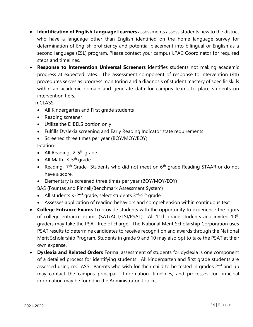- **Identification of English Language Learners** assessments assess students new to the district who have a language other than English identified on the home language survey for determination of English proficiency and potential placement into bilingual or English as a second language (ESL) program. Please contact your campus LPAC Coordinator for required steps and timelines.
- **Response to Intervention Universal Screeners** identifies students not making academic progress at expected rates. The assessment component of response to intervention (RtI) procedures serves as progress monitoring and a diagnosis of student mastery of specific skills within an academic domain and generate data for campus teams to place students on intervention tiers.

mCLASS-

- All Kindergarten and First grade students
- Reading screener
- Utilize the DIBELS portion only
- Fulfills Dyslexia screening and Early Reading Indicator state requirements
- Screened three times per year (BOY/MOY/EOY)

IStation-

- All Reading- 2-5<sup>th</sup> grade
- All Math- K-5<sup>th</sup> grade
- Reading-  $7<sup>th</sup>$  Grade- Students who did not meet on  $6<sup>th</sup>$  grade Reading STAAR or do not have a score.
- Elementary is screened three times per year (BOY/MOY/EOY)

BAS (Fountas and Pinnell/Benchmark Assessment System)

- All students K-2<sup>nd</sup> grade, select students 3<sup>rd</sup>-5<sup>th</sup> grade
- Assesses application of reading behaviors and comprehension within continuous text
- **College Entrance Exams** To provide students with the opportunity to experience the rigors of college entrance exams (SAT/ACT/TSI/PSAT). All 11th grade students and invited 10<sup>th</sup> graders may take the PSAT free of charge. The National Merit Scholarship Corporation uses PSAT results to determine candidates to receive recognition and awards through the National Merit Scholarship Program. Students in grade 9 and 10 may also opt to take the PSAT at their own expense.
- **Dyslexia and Related Orders** Formal assessment of students for dyslexia is one component of a detailed process for identifying students. All kindergarten and first grade students are assessed using mCLASS. Parents who wish for their child to be tested in grades 2<sup>nd</sup> and up may contact the campus principal. Information, timelines, and processes for principal information may be found in the Administrator Toolkit.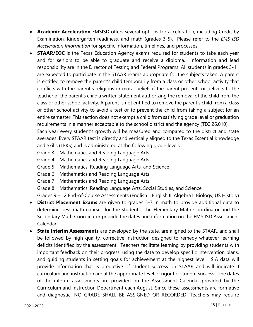- **Academic Acceleration** EMSISD offers several options for acceleration, including Credit by Examination, Kindergarten readiness, and math (grades 3-5). Please refer to the *[EMS ISD](https://www.emsisd.com/Page/366)  [Acceleration Information](https://www.emsisd.com/Page/366)* for specific information, timelines, and processes.
- **STAAR/EOC** is the Texas Education Agency exams required for students to take each year and for seniors to be able to graduate and receive a diploma. Information and lead responsibility are in the Director of Testing and Federal Programs. All students in grades 3-11 are expected to participate in the STAAR exams appropriate for the subjects taken. A parent is entitled to remove the parent's child temporarily from a class or other school activity that conflicts with the parent's religious or moral beliefs if the parent presents or delivers to the teacher of the parent's child a written statement authorizing the removal of the child from the class or other school activity. A parent is not entitled to remove the parent's child from a class or other school activity to avoid a test or to prevent the child from taking a subject for an entire semester. This section does not exempt a child from satisfying grade level or graduation requirements in a manner acceptable to the school district and the agency (TEC 26.010).

Each year every student's growth will be measured and compared to the district and state averages. Every STAAR test is directly and vertically aligned to the Texas Essential Knowledge and Skills (TEKS) and is administered at the following grade levels:

- Grade 3 Mathematics and Reading Language Arts
- Grade 4 Mathematics and Reading Language Arts
- Grade 5 Mathematics, Reading Language Arts, and Science
- Grade 6 Mathematics and Reading Language Arts
- Grade 7 Mathematics and Reading Language Arts
- Grade 8 Mathematics, Reading Language Arts, Social Studies, and Science
- Grades 9 12 End-of-Course Assessments (English I, English II, Algebra I, Biology, US History)
- **District Placement Exams** are given to grades 5-7 in math to provide additional data to determine best math courses for the student. The Elementary Math Coordinator and the Secondary Math Coordinator provide the dates and information on the EMS ISD Assessment Calendar.
- **State Interim Assessments** are developed by the state, are aligned to the STAAR, and shall be followed by high quality, corrective instruction designed to remedy whatever learning deficits identified by the assessment. Teachers facilitate learning by providing students with important feedback on their progress, using the data to develop specific intervention plans, and guiding students in setting goals for achievement at the highest level. SIA data will provide information that is predictive of student success on STAAR and will indicate if curriculum and instruction are at the appropriate level of rigor for student success. The dates of the interim assessments are provided on the Assessment Calendar provided by the Curriculum and Instruction Department each August. Since these assessments are formative and diagnostic, NO GRADE SHALL BE ASSIGNED OR RECORDED. Teachers may require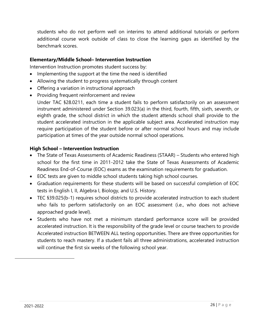students who do not perform well on interims to attend additional tutorials or perform additional course work outside of class to close the learning gaps as identified by the benchmark scores.

#### **Elementary/Middle School– Intervention Instruction**

Intervention Instruction promotes student success by:

- Implementing the support at the time the need is identified
- Allowing the student to progress systematically through content
- Offering a variation in instructional approach
- Providing frequent reinforcement and review
- Under TAC §28.0211, each time a student fails to perform satisfactorily on an assessment instrument administered under Section 39.023(a) in the third, fourth, fifth, sixth, seventh, or eighth grade, the school district in which the student attends school shall provide to the student accelerated instruction in the applicable subject area. Accelerated instruction may require participation of the student before or after normal school hours and may include participation at times of the year outside normal school operations.

#### **High School – Intervention Instruction**

- The State of Texas Assessments of Academic Readiness (STAAR) Students who entered high school for the first time in 2011-2012 take the State of Texas Assessments of Academic Readiness End-of-Course (EOC) exams as the examination requirements for graduation.
- EOC tests are given to middle school students taking high school courses.
- Graduation requirements for these students will be based on successful completion of EOC tests in English I, II, Algebra I, Biology, and U.S. History.
- TEC §39.025(b-1) requires school districts to provide accelerated instruction to each student who fails to perform satisfactorily on an EOC assessment (i.e., who does not achieve approached grade level).
- Students who have not met a minimum standard performance score will be provided accelerated instruction. It is the responsibility of the grade level or course teachers to provide Accelerated instruction BETWEEN ALL testing opportunities. There are three opportunities for students to reach mastery. If a student fails all three administrations, accelerated instruction will continue the first six weeks of the following school year.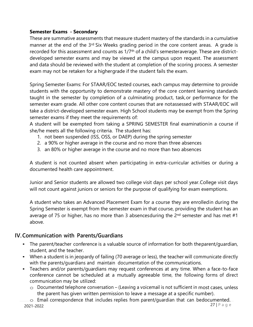#### **Semester Exams - Secondary**

These are summative assessments that measure student mastery of the standards in a cumulative manner at the end of the 3<sup>rd</sup> Six Weeks grading period in the core content areas. A grade is recorded for this assessment and counts as 1/7th of a child's semesteraverage. These are districtdeveloped semester exams and may be viewed at the campus upon request. The assessment and data should be reviewed with the student at completion of the scoring process. A semester exam may not be retaken for a highergrade if the student fails the exam.

Spring Semester Exams: For STAAR/EOC tested courses, each campus may determine to provide students with the opportunity to demonstrate mastery of the core content learning standards taught in the semester by completion of a culminating product, task,or performance for the semester exam grade. All other core content courses that are notassessed with STAAR/EOC will take a district-developed semester exam. High School students may be exempt from the Spring semester exams if they meet the requirements of:

A student will be exempted from taking a SPRING SEMESTER final examinationin a course if she/he meets all the following criteria. The student has:

- 1. not been suspended (ISS, OSS, or DAEP) during the spring semester
- 2. a 90% or higher average in the course and no more than three absences
- 3. an 80% or higher average in the course and no more than two absences

A student is not counted absent when participating in extra-curricular activities or during a documented health care appointment.

Junior and Senior students are allowed two college visit days per school year.College visit days will not count against juniors or seniors for the purpose of qualifying for exam exemptions.

A student who takes an Advanced Placement Exam for a course they are enrolledin during the Spring Semester is exempt from the semester exam in that course, providing the student has an average of 75 or higher, has no more than 3 absencesduring the  $2<sup>nd</sup>$  semester and has met #1 above.

## **IV.Communication with Parents/Guardians**

- The parent/teacher conference is a valuable source of information for both theparent/guardian, student, and the teacher.
- When a student is in jeopardy of failing (70 average or less), the teacher will communicate directly with the parents/guardians and maintain documentation of the communications.
- Teachers and/or parents/guardians may request conferences at any time. When a face-to-face conference cannot be scheduled at a mutually agreeable time, the following forms of direct communication may be utilized:
	- $\circ$  Documented telephone conversation (Leaving a voicemail is not sufficient in most cases, unless the parent has given written permission to leave a message at a specific number).
- 27 | P a g e 2021-2022 o Email correspondence that includes replies from parent/guardian that can bedocumented.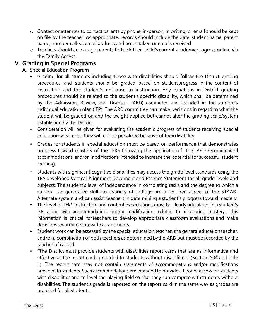- $\circ$  Contact or attempts to contact parents by phone, in-person, in writing, or email should be kept on file by the teacher. As appropriate, records should include the date, student name, parent name, number called, email address,and notes taken or emails received.
- $\circ$  Teachers should encourage parents to track their child's current academicprogress online via the Family Access.

## **V. Grading in Special Programs**

#### **A. Special Education Program**

- Grading for all students including those with disabilities should follow the District grading procedures, and students should be graded based on studentprogress in the content of instruction and the student's response to instruction. Any variations in District grading procedures should be related to the student's specific disability, which shall be determined by the Admission, Review, and Dismissal (ARD) committee and included in the student's individual education plan (IEP). The ARD committee can make decisions in regard to what the student will be graded on and the weight applied but cannot alter the grading scale/system established by the District.
- Consideration will be given for evaluating the academic progress of students receiving special education services so they will not be penalized because of theirdisability.
- Grades for students in special education must be based on performance that demonstrates progress toward mastery of the TEKS following the applicationof the ARD-recommended accommodations and/or modifications intended to increase the potential for successful student learning.
- Students with significant cognitive disabilities may access the grade level standards using the TEA developed Vertical Alignment Document and Essence Statement for all grade levels and subjects. The student's level of independence in completing tasks and the degree to which a student can generalize skills to avariety of settings are a required aspect of the STAAR-Alternate system and can assist teachers in determining a student's progress toward mastery.
- The level of TEKS instruction and content expectations must be clearly articulated in a student's IEP, along with accommodations and/or modifications related to measuring mastery. This information is critical forteachers to develop appropriate classroom evaluations and make decisionsregarding statewide assessments.
- Student work can be assessed by the special education teacher, the generaleducation teacher, and/or a combination of both teachers as determined bythe ARD but must be recorded by the teacher of record.
- "The District must provide students with disabilities report cards that are as informative and effective as the report cards provided to students without disabilities." (Section 504 and Title II). The report card may not contain statements of accommodations and/or modifications provided to students. Such accommodations are intended to provide a floor of access for students with disabilities and to level the playing field so that they can compete withstudents without disabilities. The student's grade is reported on the report card in the same way as grades are reported for all students.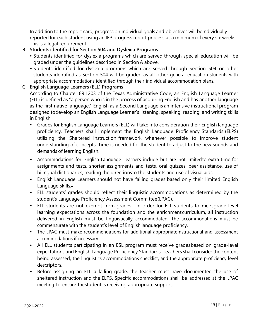In addition to the report card, progress on individual goals and objectives will beindividually reported for each student using an IEP progress report process at a minimum of every six weeks. This is a legal requirement.

- **B. Students identified for Section 504 and Dyslexia Programs**
	- Students identified for dyslexia programs which are served through special education will be graded under the guidelines described in Section A above.
	- Students identified for dyslexia programs which are served through Section 504 or other students identified as Section 504 will be graded as all other general education students with appropriate accommodations identified through their individual accommodation plans.

#### **C. English Language Learners (ELL) Programs**

According to Chapter 89.1203 of the Texas Administrative Code, an English Language Learner (ELL) is defined as "a person who is in the process of acquiring English and has another language as the first native language." English as a Second Language is an intensive instructional program designed todevelop an English Language Learner's listening, speaking, reading, and writing skills in English.

- Grades for English Language Learners (ELL) will take into consideration their English language proficiency. Teachers shall implement the English Language Proficiency Standards (ELPS) utilizing the Sheltered Instruction framework whenever possible to improve student understanding of concepts. Time is needed for the student to adjust to the new sounds and demands of learning English.
- Accommodations for English Language Learners include but are not limitedto extra time for assignments and tests, shorter assignments and tests, oral quizzes, peer assistance, use of bilingual dictionaries, reading the directionsto the students and use of visual aids.
- English Language Learners should not have failing grades based only their limited English Language skills.
- ELL students' grades should reflect their linguistic accommodations as determined by the student's Language Proficiency Assessment Committee(LPAC).
- ELL students are not exempt from grades. In order for ELL students to meetgrade-level learning expectations across the foundation and the enrichmentcurriculum, all instruction delivered in English must be linguistically accommodated. The accommodations must be commensurate with the student's level of English language proficiency.
- The LPAC must make recommendations for additional appropriateinstructional and assessment accommodations if necessary.
- All ELL students participating in an ESL program must receive gradesbased on grade-level expectations and English Language Proficiency Standards. Teachers shall consider the content being assessed, the linguistics accommodations checklist, and the appropriate proficiency level descriptors.
- Before assigning an ELL a failing grade, the teacher must have documented the use of sheltered instruction and the ELPS. Specific accommodations shall be addressed at the LPAC meeting to ensure thestudent is receiving appropriate support.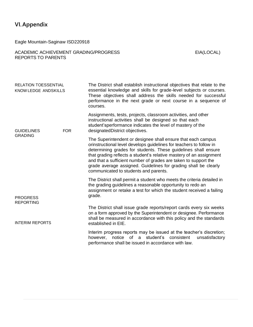#### **VI.Appendix**

Eagle Mountain-Saginaw ISD220918

#### ACADEMIC ACHIEVEMENT GRADING/PROGRESS REPORTS TO PARENTS

RELATION TOESSENTIAL KNOW LEDGE ANDSKILLS GUIDELINES FOR GRADING **PROGRESS** REPORTING INTERIM REPORTS The District shall establish instructional objectives that relate to the essential knowledge and skills for grade-level subjects or courses. These objectives shall address the skills needed for successful performance in the next grade or next course in a sequence of courses. Assignments, tests, projects, classroom activities, and other instructional activities shall be designed so that each student'sperformance indicates the level of mastery of the designatedDistrict objectives. The Superintendent or designee shall ensure that each campus orinstructional level develops guidelines for teachers to follow in determining grades for students. These guidelines shall ensure that grading reflects a student's relative mastery of an assignment and that a sufficient number of grades are taken to support the grade average assigned. Guidelines for grading shall be clearly communicated to students and parents. The District shall permit a student who meets the criteria detailed in the grading guidelines a reasonable opportunity to redo an assignment or retake a test for which the student received a failing grade. The District shall issue grade reports/report cards every six weeks on a form approved by the Superintendent or designee. Performance shall be measured in accordance with this policy and the standards established in EIE. Interim progress reports may be issued at the teacher's discretion; however, notice of a student's consistent unsatisfactory performance shall be issued in accordance with law.

EIA(LOCAL)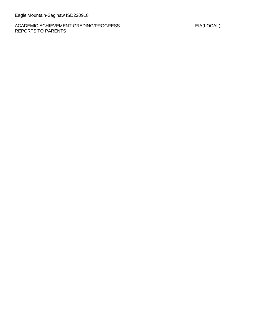#### ACADEMIC ACHIEVEMENT GRADING/PROGRESS REPORTS TO PARENTS

EIA(LOCAL)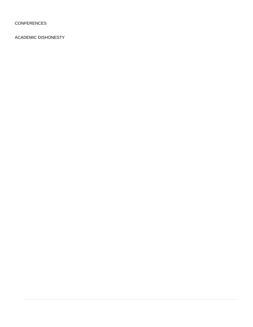**CONFERENCES** 

#### ACADEMIC DISHONESTY